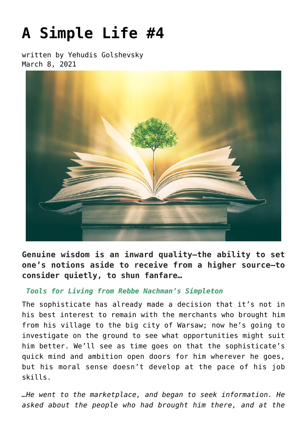## **[A Simple Life #4](https://breslov.org/a-simple-life-4/)**

written by Yehudis Golshevsky March 8, 2021



**Genuine wisdom is an inward quality—the ability to set one's notions aside to receive from a higher source—to consider quietly, to shun fanfare…**

## *Tools for Living from Rebbe Nachman's Simpleton*

The sophisticate has already made a decision that it's not in his best interest to remain with the merchants who brought him from his village to the big city of Warsaw; now he's going to investigate on the ground to see what opportunities might suit him better. We'll see as time goes on that the sophisticate's quick mind and ambition open doors for him wherever he goes, but his moral sense doesn't develop at the pace of his job skills.

*…He went to the marketplace, and began to seek information. He asked about the people who had brought him there, and at the*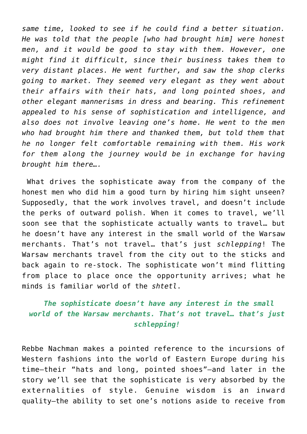*same time, looked to see if he could find a better situation. He was told that the people [who had brought him] were honest men, and it would be good to stay with them. However, one might find it difficult, since their business takes them to very distant places. He went further, and saw the shop clerks going to market. They seemed very elegant as they went about their affairs with their hats, and long pointed shoes, and other elegant mannerisms in dress and bearing. This refinement appealed to his sense of sophistication and intelligence, and also does not involve leaving one's home. He went to the men who had brought him there and thanked them, but told them that he no longer felt comfortable remaining with them. His work for them along the journey would be in exchange for having brought him there….*

What drives the sophisticate away from the company of the honest men who did him a good turn by hiring him sight unseen? Supposedly, that the work involves travel, and doesn't include the perks of outward polish. When it comes to travel, we'll soon see that the sophisticate actually wants to travel… but he doesn't have any interest in the small world of the Warsaw merchants. That's not travel… that's just *schlepping*! The Warsaw merchants travel from the city out to the sticks and back again to re-stock. The sophisticate won't mind flitting from place to place once the opportunity arrives; what he minds is familiar world of the *shtetl*.

## *The sophisticate doesn't have any interest in the small world of the Warsaw merchants. That's not travel… that's just schlepping!*

Rebbe Nachman makes a pointed reference to the incursions of Western fashions into the world of Eastern Europe during his time—their "hats and long, pointed shoes"—and later in the story we'll see that the sophisticate is very absorbed by the externalities of style. Genuine wisdom is an inward quality—the ability to set one's notions aside to receive from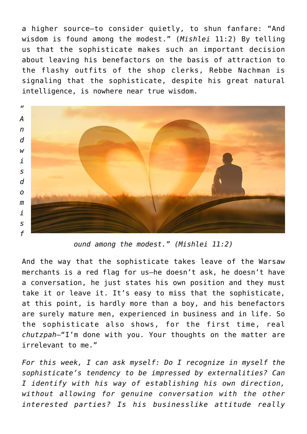a higher source—to consider quietly, to shun fanfare: "And wisdom is found among the modest." (*Mishlei* 11:2) By telling us that the sophisticate makes such an important decision about leaving his benefactors on the basis of attraction to the flashy outfits of the shop clerks, Rebbe Nachman is signaling that the sophisticate, despite his great natural intelligence, is nowhere near true wisdom.



*ound among the modest." (Mishlei 11:2)*

And the way that the sophisticate takes leave of the Warsaw merchants is a red flag for us—he doesn't ask, he doesn't have a conversation, he just states his own position and they must take it or leave it. It's easy to miss that the sophisticate, at this point, is hardly more than a boy, and his benefactors are surely mature men, experienced in business and in life. So the sophisticate also shows, for the first time, real *chutzpah*—"I'm done with you. Your thoughts on the matter are irrelevant to me."

*For this week, I can ask myself: Do I recognize in myself the sophisticate's tendency to be impressed by externalities? Can I identify with his way of establishing his own direction, without allowing for genuine conversation with the other interested parties? Is his businesslike attitude really*